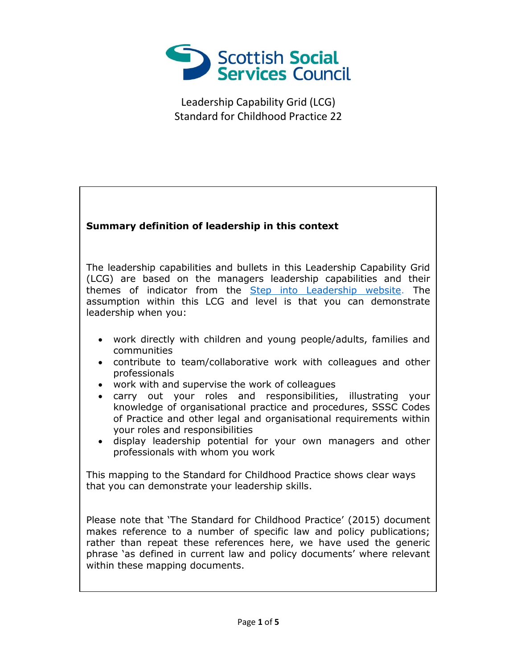

## **Summary definition of leadership in this context**

The leadership capabilities and bullets in this Leadership Capability Grid (LCG) are based on the managers leadership capabilities and their themes of indicator from the **Step into Leadership website**. The assumption within this LCG and level is that you can demonstrate leadership when you:

- work directly with children and young people/adults, families and communities
- contribute to team/collaborative work with colleagues and other professionals
- work with and supervise the work of colleagues
- carry out your roles and responsibilities, illustrating your knowledge of organisational practice and procedures, SSSC Codes of Practice and other legal and organisational requirements within your roles and responsibilities
- display leadership potential for your own managers and other professionals with whom you work

This mapping to the Standard for Childhood Practice shows clear ways that you can demonstrate your leadership skills.

Please note that 'The Standard for Childhood Practice' (2015) document makes reference to a number of specific law and policy publications; rather than repeat these references here, we have used the generic phrase 'as defined in current law and policy documents' where relevant within these mapping documents.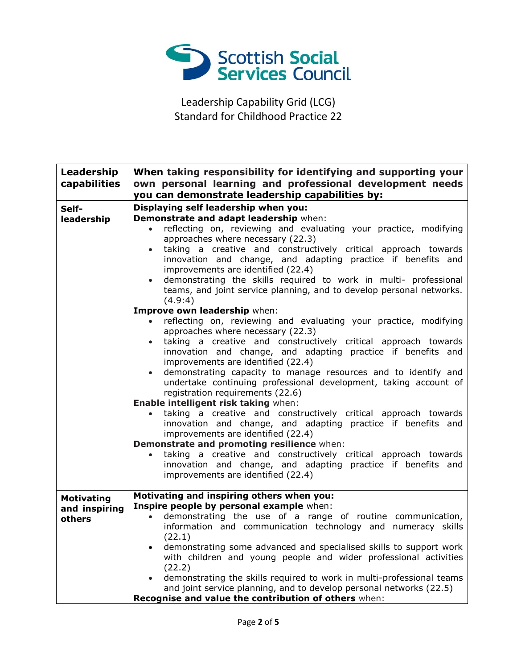

| Leadership<br>capabilities                   | When taking responsibility for identifying and supporting your<br>own personal learning and professional development needs<br>you can demonstrate leadership capabilities by:                                                                                                                                                                                                                                                                                                                                                                                                                                                                                                                                                                                                                                                                                                                                                                                                                                                                                                                                                                                                                                                                                                                                                                                                                                                                                                                                            |
|----------------------------------------------|--------------------------------------------------------------------------------------------------------------------------------------------------------------------------------------------------------------------------------------------------------------------------------------------------------------------------------------------------------------------------------------------------------------------------------------------------------------------------------------------------------------------------------------------------------------------------------------------------------------------------------------------------------------------------------------------------------------------------------------------------------------------------------------------------------------------------------------------------------------------------------------------------------------------------------------------------------------------------------------------------------------------------------------------------------------------------------------------------------------------------------------------------------------------------------------------------------------------------------------------------------------------------------------------------------------------------------------------------------------------------------------------------------------------------------------------------------------------------------------------------------------------------|
| Self-<br>leadership                          | Displaying self leadership when you:<br>Demonstrate and adapt leadership when:<br>reflecting on, reviewing and evaluating your practice, modifying<br>$\bullet$<br>approaches where necessary (22.3)<br>taking a creative and constructively critical approach towards<br>$\bullet$<br>innovation and change, and adapting practice if benefits and<br>improvements are identified (22.4)<br>demonstrating the skills required to work in multi- professional<br>$\bullet$<br>teams, and joint service planning, and to develop personal networks.<br>(4.9:4)<br>Improve own leadership when:<br>reflecting on, reviewing and evaluating your practice, modifying<br>approaches where necessary (22.3)<br>taking a creative and constructively critical approach towards<br>$\bullet$<br>innovation and change, and adapting practice if benefits and<br>improvements are identified (22.4)<br>demonstrating capacity to manage resources and to identify and<br>$\bullet$<br>undertake continuing professional development, taking account of<br>registration requirements (22.6)<br>Enable intelligent risk taking when:<br>taking a creative and constructively critical approach towards<br>innovation and change, and adapting practice if benefits and<br>improvements are identified (22.4)<br>Demonstrate and promoting resilience when:<br>taking a creative and constructively critical approach towards<br>innovation and change, and adapting practice if benefits and<br>improvements are identified (22.4) |
| <b>Motivating</b><br>and inspiring<br>others | Motivating and inspiring others when you:<br>Inspire people by personal example when:<br>demonstrating the use of a range of routine communication,<br>$\bullet$<br>information and communication technology and numeracy skills<br>(22.1)<br>demonstrating some advanced and specialised skills to support work<br>$\bullet$<br>with children and young people and wider professional activities<br>(22.2)<br>demonstrating the skills required to work in multi-professional teams<br>$\bullet$<br>and joint service planning, and to develop personal networks (22.5)<br>Recognise and value the contribution of others when:                                                                                                                                                                                                                                                                                                                                                                                                                                                                                                                                                                                                                                                                                                                                                                                                                                                                                         |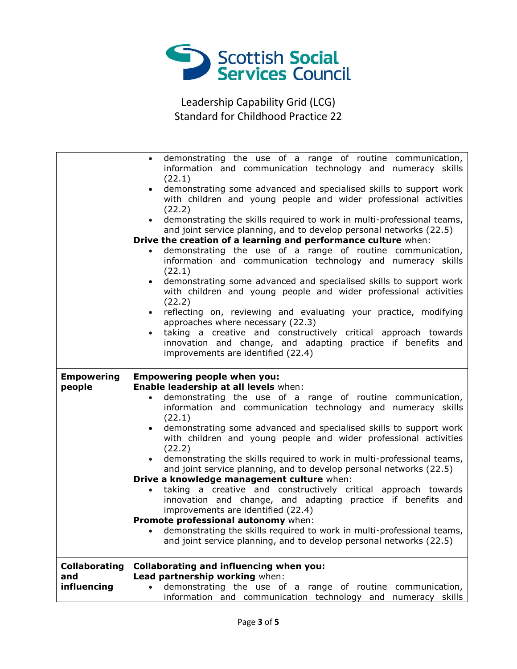

|                      | demonstrating the use of a range of routine communication,                                                                 |
|----------------------|----------------------------------------------------------------------------------------------------------------------------|
|                      | information and communication technology and numeracy skills                                                               |
|                      | (22.1)                                                                                                                     |
|                      | demonstrating some advanced and specialised skills to support work                                                         |
|                      | with children and young people and wider professional activities                                                           |
|                      |                                                                                                                            |
|                      | (22.2)                                                                                                                     |
|                      | demonstrating the skills required to work in multi-professional teams,                                                     |
|                      | and joint service planning, and to develop personal networks (22.5)                                                        |
|                      | Drive the creation of a learning and performance culture when:                                                             |
|                      | demonstrating the use of a range of routine communication,<br>$\bullet$                                                    |
|                      | information and communication technology and numeracy skills                                                               |
|                      | (22.1)                                                                                                                     |
|                      | demonstrating some advanced and specialised skills to support work<br>$\bullet$                                            |
|                      | with children and young people and wider professional activities                                                           |
|                      | (22.2)                                                                                                                     |
|                      | • reflecting on, reviewing and evaluating your practice, modifying                                                         |
|                      | approaches where necessary (22.3)                                                                                          |
|                      | taking a creative and constructively critical approach towards                                                             |
|                      | innovation and change, and adapting practice if benefits and                                                               |
|                      | improvements are identified (22.4)                                                                                         |
|                      |                                                                                                                            |
| <b>Empowering</b>    | <b>Empowering people when you:</b>                                                                                         |
|                      |                                                                                                                            |
|                      |                                                                                                                            |
| people               | Enable leadership at all levels when:                                                                                      |
|                      | demonstrating the use of a range of routine communication,<br>$\bullet$                                                    |
|                      | information and communication technology and numeracy skills                                                               |
|                      | (22.1)                                                                                                                     |
|                      | demonstrating some advanced and specialised skills to support work<br>$\bullet$                                            |
|                      | with children and young people and wider professional activities                                                           |
|                      | (22.2)                                                                                                                     |
|                      | demonstrating the skills required to work in multi-professional teams,                                                     |
|                      | and joint service planning, and to develop personal networks (22.5)                                                        |
|                      | Drive a knowledge management culture when:                                                                                 |
|                      | taking a creative and constructively critical approach towards                                                             |
|                      | innovation and change, and adapting practice if benefits and                                                               |
|                      | improvements are identified (22.4)                                                                                         |
|                      | Promote professional autonomy when:                                                                                        |
|                      | • demonstrating the skills required to work in multi-professional teams,                                                   |
|                      | and joint service planning, and to develop personal networks (22.5)                                                        |
|                      |                                                                                                                            |
| <b>Collaborating</b> | <b>Collaborating and influencing when you:</b>                                                                             |
| and                  | Lead partnership working when:                                                                                             |
| influencing          | demonstrating the use of a range of routine communication,<br>information and communication technology and numeracy skills |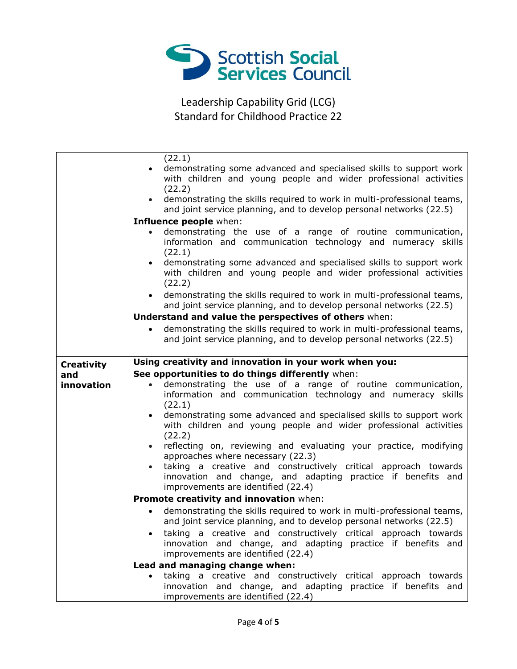

|                   | (22.1)<br>demonstrating some advanced and specialised skills to support work<br>$\bullet$<br>with children and young people and wider professional activities<br>(22.2)<br>demonstrating the skills required to work in multi-professional teams,<br>$\bullet$<br>and joint service planning, and to develop personal networks (22.5) |
|-------------------|---------------------------------------------------------------------------------------------------------------------------------------------------------------------------------------------------------------------------------------------------------------------------------------------------------------------------------------|
|                   | Influence people when:                                                                                                                                                                                                                                                                                                                |
|                   | demonstrating the use of a range of routine communication,<br>information and communication technology and numeracy skills<br>(22.1)                                                                                                                                                                                                  |
|                   | • demonstrating some advanced and specialised skills to support work<br>with children and young people and wider professional activities<br>(22.2)                                                                                                                                                                                    |
|                   | • demonstrating the skills required to work in multi-professional teams,<br>and joint service planning, and to develop personal networks (22.5)                                                                                                                                                                                       |
|                   | Understand and value the perspectives of others when:                                                                                                                                                                                                                                                                                 |
|                   | demonstrating the skills required to work in multi-professional teams,<br>and joint service planning, and to develop personal networks (22.5)                                                                                                                                                                                         |
| <b>Creativity</b> | Using creativity and innovation in your work when you:                                                                                                                                                                                                                                                                                |
| and               | See opportunities to do things differently when:                                                                                                                                                                                                                                                                                      |
|                   |                                                                                                                                                                                                                                                                                                                                       |
| innovation        | demonstrating the use of a range of routine communication,<br>information and communication technology and numeracy skills<br>(22.1)                                                                                                                                                                                                  |
|                   | demonstrating some advanced and specialised skills to support work<br>$\bullet$<br>with children and young people and wider professional activities<br>(22.2)                                                                                                                                                                         |
|                   | reflecting on, reviewing and evaluating your practice, modifying<br>$\bullet$<br>approaches where necessary (22.3)                                                                                                                                                                                                                    |
|                   | taking a creative and constructively critical approach towards<br>$\bullet$<br>innovation and change, and adapting practice if benefits and<br>improvements are identified (22.4)                                                                                                                                                     |
|                   | Promote creativity and innovation when:                                                                                                                                                                                                                                                                                               |
|                   | demonstrating the skills required to work in multi-professional teams,                                                                                                                                                                                                                                                                |
|                   | and joint service planning, and to develop personal networks (22.5)                                                                                                                                                                                                                                                                   |
|                   | taking a creative and constructively critical approach towards<br>innovation and change, and adapting practice if benefits and<br>improvements are identified (22.4)                                                                                                                                                                  |
|                   | Lead and managing change when:                                                                                                                                                                                                                                                                                                        |
|                   | taking a creative and constructively critical approach towards<br>innovation and change, and adapting practice if benefits and<br>improvements are identified (22.4)                                                                                                                                                                  |